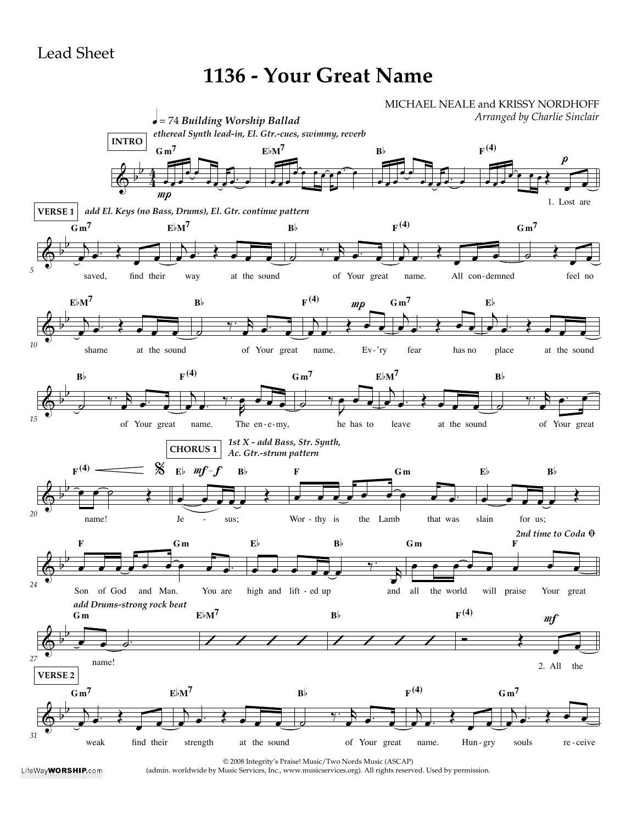## **1136 - Your Great Name**



LifeWay**WORSHIP.com** 

© 2008 Integrity's Praise! Music/Two Nords Music (ASCAP)

(admin. worldwide by Music Services, Inc., www.musicservices.org). All rights reserved. Used by permission.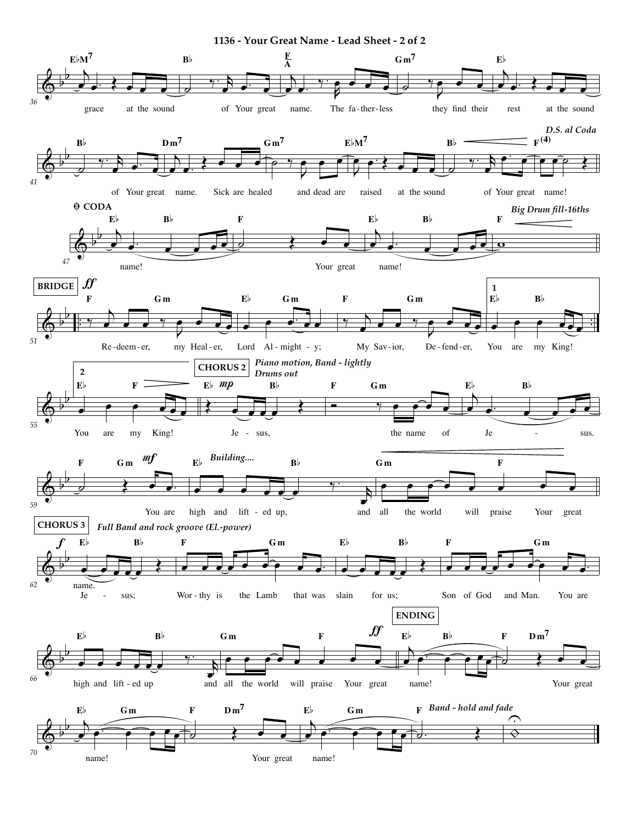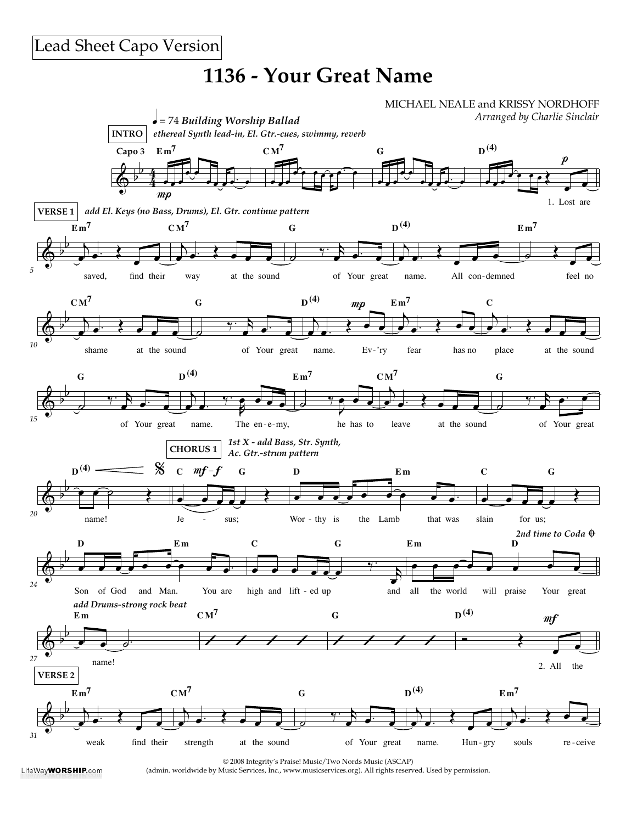## Lead Sheet Capo Version

## **1136 - Your Great Name**



© 2008 Integrity's Praise! Music/Two Nords Music (ASCAP)

LifeWay**WORSHIP.com** 

(admin. worldwide by Music Services, Inc., www.musicservices.org). All rights reserved. Used by permission.